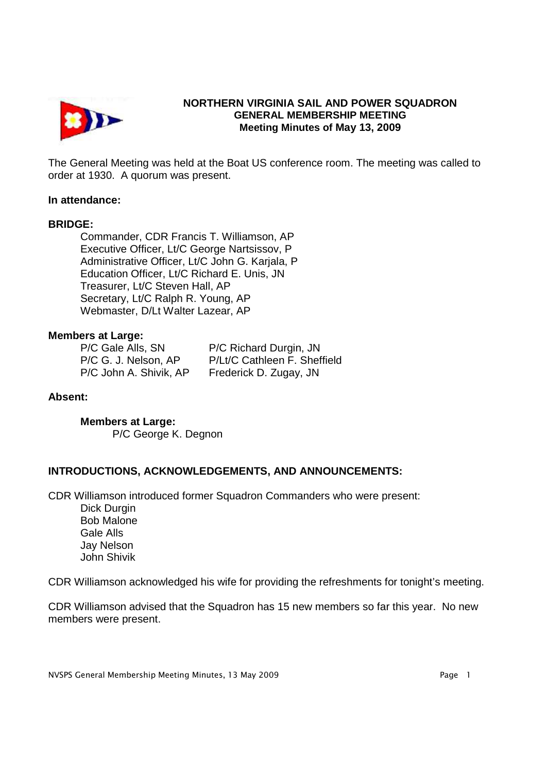

# **NORTHERN VIRGINIA SAIL AND POWER SQUADRON GENERAL MEMBERSHIP MEETING Meeting Minutes of May 13, 2009**

The General Meeting was held at the Boat US conference room. The meeting was called to order at 1930. A quorum was present.

#### **In attendance:**

#### **BRIDGE:**

 Commander, CDR Francis T. Williamson, AP Executive Officer, Lt/C George Nartsissov, P Administrative Officer, Lt/C John G. Karjala, P Education Officer, Lt/C Richard E. Unis, JN Treasurer, Lt/C Steven Hall, AP Secretary, Lt/C Ralph R. Young, AP Webmaster, D/Lt Walter Lazear, AP

#### **Members at Large:**

P/C Gale Alls, SN P/C Richard Durgin, JN P/C John A. Shivik, AP Frederick D. Zugay, JN

P/C G. J. Nelson, AP P/Lt/C Cathleen F. Sheffield

## **Absent:**

**Members at Large:** P/C George K. Degnon

## **INTRODUCTIONS, ACKNOWLEDGEMENTS, AND ANNOUNCEMENTS:**

CDR Williamson introduced former Squadron Commanders who were present:

 Dick Durgin Bob Malone Gale Alls Jay Nelson John Shivik

CDR Williamson acknowledged his wife for providing the refreshments for tonight's meeting.

CDR Williamson advised that the Squadron has 15 new members so far this year. No new members were present.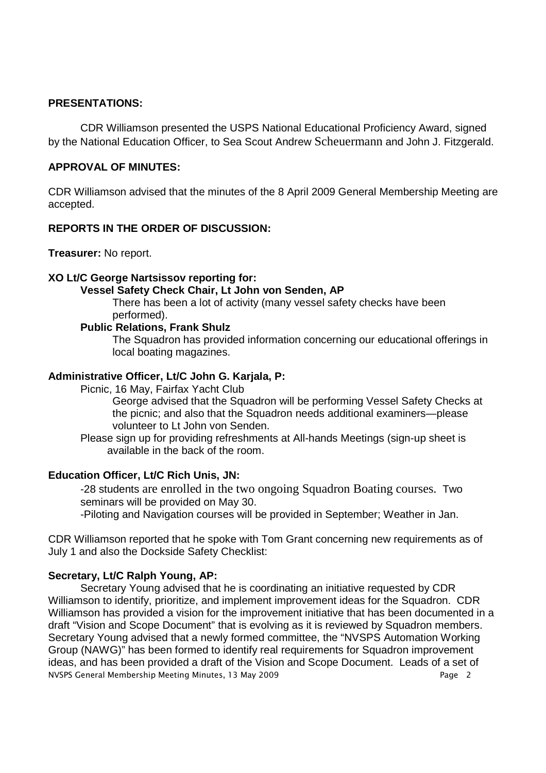## **PRESENTATIONS:**

CDR Williamson presented the USPS National Educational Proficiency Award, signed by the National Education Officer, to Sea Scout Andrew Scheuermann and John J. Fitzgerald.

## **APPROVAL OF MINUTES:**

CDR Williamson advised that the minutes of the 8 April 2009 General Membership Meeting are accepted.

## **REPORTS IN THE ORDER OF DISCUSSION:**

**Treasurer:** No report.

#### **XO Lt/C George Nartsissov reporting for:**

## **Vessel Safety Check Chair, Lt John von Senden, AP**

There has been a lot of activity (many vessel safety checks have been performed).

## **Public Relations, Frank Shulz**

The Squadron has provided information concerning our educational offerings in local boating magazines.

## **Administrative Officer, Lt/C John G. Karjala, P:**

Picnic, 16 May, Fairfax Yacht Club

George advised that the Squadron will be performing Vessel Safety Checks at the picnic; and also that the Squadron needs additional examiners—please volunteer to Lt John von Senden.

Please sign up for providing refreshments at All-hands Meetings (sign-up sheet is available in the back of the room.

#### **Education Officer, Lt/C Rich Unis, JN:**

-28 students are enrolled in the two ongoing Squadron Boating courses. Two seminars will be provided on May 30.

-Piloting and Navigation courses will be provided in September; Weather in Jan.

CDR Williamson reported that he spoke with Tom Grant concerning new requirements as of July 1 and also the Dockside Safety Checklist:

#### **Secretary, Lt/C Ralph Young, AP:**

NVSPS General Membership Meeting Minutes, 13 May 2009 Page 2 Secretary Young advised that he is coordinating an initiative requested by CDR Williamson to identify, prioritize, and implement improvement ideas for the Squadron. CDR Williamson has provided a vision for the improvement initiative that has been documented in a draft "Vision and Scope Document" that is evolving as it is reviewed by Squadron members. Secretary Young advised that a newly formed committee, the "NVSPS Automation Working Group (NAWG)" has been formed to identify real requirements for Squadron improvement ideas, and has been provided a draft of the Vision and Scope Document. Leads of a set of